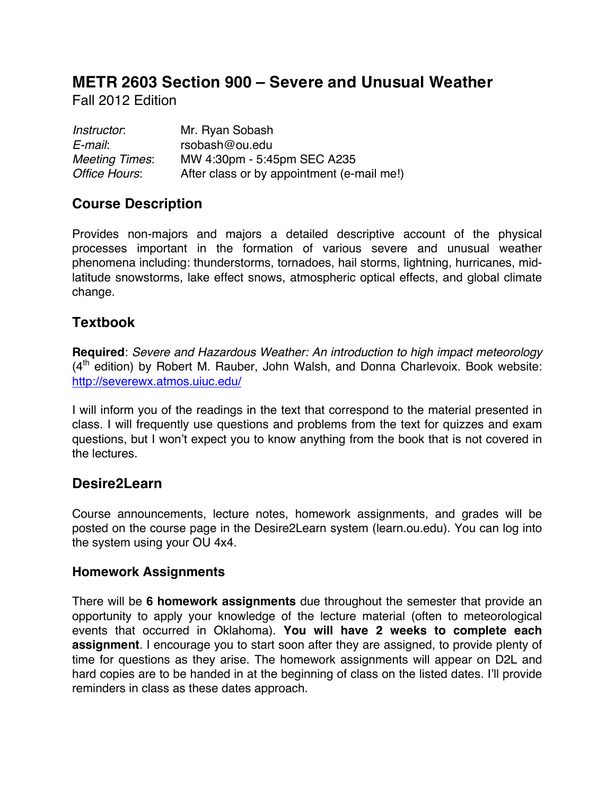# **METR 2603 Section 900 – Severe and Unusual Weather**

Fall 2012 Edition

*Instructor*: Mr. Ryan Sobash *E-mail*: rsobash@ou.edu *Meeting Times*: MW 4:30pm - 5:45pm SEC A235 *Office Hours*: After class or by appointment (e-mail me!)

# **Course Description**

Provides non-majors and majors a detailed descriptive account of the physical processes important in the formation of various severe and unusual weather phenomena including: thunderstorms, tornadoes, hail storms, lightning, hurricanes, midlatitude snowstorms, lake effect snows, atmospheric optical effects, and global climate change.

## **Textbook**

**Required**: *Severe and Hazardous Weather: An introduction to high impact meteorology*  $(4<sup>th</sup>$  edition) by Robert M. Rauber, John Walsh, and Donna Charlevoix. Book website: http://severewx.atmos.uiuc.edu/

I will inform you of the readings in the text that correspond to the material presented in class. I will frequently use questions and problems from the text for quizzes and exam questions, but I won't expect you to know anything from the book that is not covered in the lectures.

## **Desire2Learn**

Course announcements, lecture notes, homework assignments, and grades will be posted on the course page in the Desire2Learn system (learn.ou.edu). You can log into the system using your OU 4x4.

#### **Homework Assignments**

There will be **6 homework assignments** due throughout the semester that provide an opportunity to apply your knowledge of the lecture material (often to meteorological events that occurred in Oklahoma). **You will have 2 weeks to complete each assignment**. I encourage you to start soon after they are assigned, to provide plenty of time for questions as they arise. The homework assignments will appear on D2L and hard copies are to be handed in at the beginning of class on the listed dates. I'll provide reminders in class as these dates approach.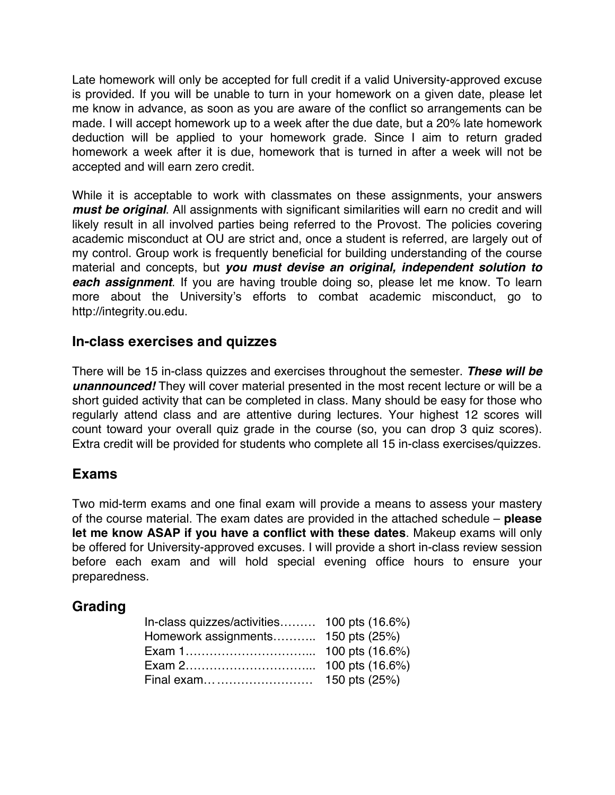Late homework will only be accepted for full credit if a valid University-approved excuse is provided. If you will be unable to turn in your homework on a given date, please let me know in advance, as soon as you are aware of the conflict so arrangements can be made. I will accept homework up to a week after the due date, but a 20% late homework deduction will be applied to your homework grade. Since I aim to return graded homework a week after it is due, homework that is turned in after a week will not be accepted and will earn zero credit.

While it is acceptable to work with classmates on these assignments, your answers *must be original*. All assignments with significant similarities will earn no credit and will likely result in all involved parties being referred to the Provost. The policies covering academic misconduct at OU are strict and, once a student is referred, are largely out of my control. Group work is frequently beneficial for building understanding of the course material and concepts, but *you must devise an original, independent solution to each assignment*. If you are having trouble doing so, please let me know. To learn more about the University's efforts to combat academic misconduct, go to http://integrity.ou.edu.

## **In-class exercises and quizzes**

There will be 15 in-class quizzes and exercises throughout the semester. *These will be unannounced!* They will cover material presented in the most recent lecture or will be a short guided activity that can be completed in class. Many should be easy for those who regularly attend class and are attentive during lectures. Your highest 12 scores will count toward your overall quiz grade in the course (so, you can drop 3 quiz scores). Extra credit will be provided for students who complete all 15 in-class exercises/quizzes.

## **Exams**

Two mid-term exams and one final exam will provide a means to assess your mastery of the course material. The exam dates are provided in the attached schedule – **please let me know ASAP if you have a conflict with these dates**. Makeup exams will only be offered for University-approved excuses. I will provide a short in-class review session before each exam and will hold special evening office hours to ensure your preparedness.

## **Grading**

| In-class quizzes/activities 100 pts (16.6%) |  |
|---------------------------------------------|--|
| Homework assignments 150 pts (25%)          |  |
|                                             |  |
|                                             |  |
|                                             |  |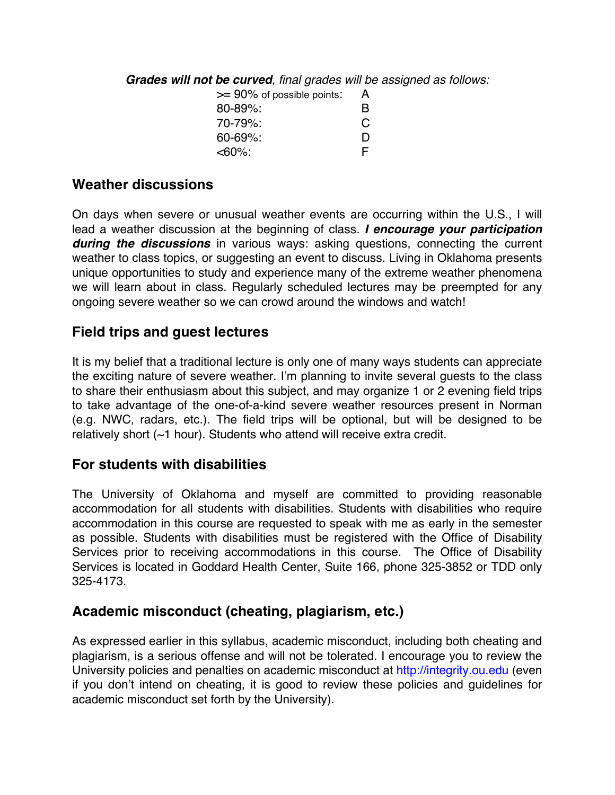*Grades will not be curved, final grades will be assigned as follows:*

| $>= 90\%$ of possible points: | A  |
|-------------------------------|----|
| 80-89%:                       | B  |
| 70-79%:                       | C  |
| 60-69%:                       | D  |
| <60%∶                         | E. |

## **Weather discussions**

On days when severe or unusual weather events are occurring within the U.S., I will lead a weather discussion at the beginning of class. *I encourage your participation during the discussions* in various ways: asking questions, connecting the current weather to class topics, or suggesting an event to discuss. Living in Oklahoma presents unique opportunities to study and experience many of the extreme weather phenomena we will learn about in class. Regularly scheduled lectures may be preempted for any ongoing severe weather so we can crowd around the windows and watch!

## **Field trips and guest lectures**

It is my belief that a traditional lecture is only one of many ways students can appreciate the exciting nature of severe weather. I'm planning to invite several guests to the class to share their enthusiasm about this subject, and may organize 1 or 2 evening field trips to take advantage of the one-of-a-kind severe weather resources present in Norman (e.g. NWC, radars, etc.). The field trips will be optional, but will be designed to be relatively short (~1 hour). Students who attend will receive extra credit.

## **For students with disabilities**

The University of Oklahoma and myself are committed to providing reasonable accommodation for all students with disabilities. Students with disabilities who require accommodation in this course are requested to speak with me as early in the semester as possible. Students with disabilities must be registered with the Office of Disability Services prior to receiving accommodations in this course. The Office of Disability Services is located in Goddard Health Center, Suite 166, phone 325-3852 or TDD only 325-4173.

## **Academic misconduct (cheating, plagiarism, etc.)**

As expressed earlier in this syllabus, academic misconduct, including both cheating and plagiarism, is a serious offense and will not be tolerated. I encourage you to review the University policies and penalties on academic misconduct at http://integrity.ou.edu (even if you don't intend on cheating, it is good to review these policies and guidelines for academic misconduct set forth by the University).